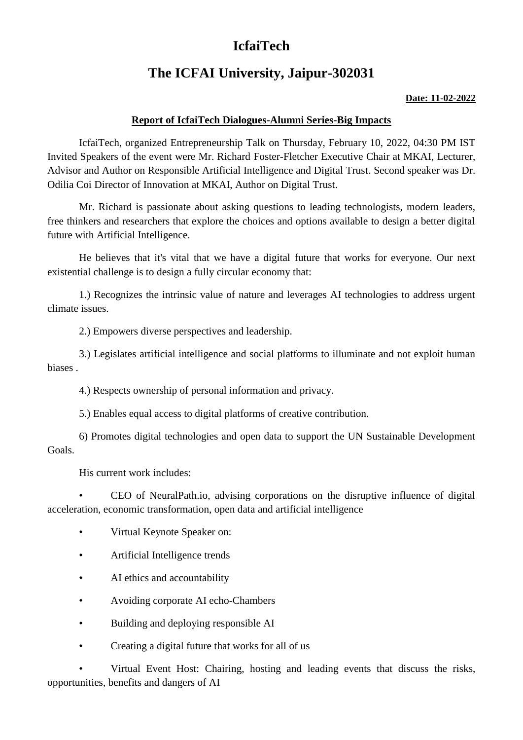# **IcfaiTech**

## **The ICFAI University, Jaipur-302031**

#### **Date: 11-02-2022**

#### **Report of IcfaiTech Dialogues-Alumni Series-Big Impacts**

IcfaiTech, organized Entrepreneurship Talk on Thursday, February 10, 2022, 04:30 PM IST Invited Speakers of the event were Mr. Richard Foster-Fletcher Executive Chair at MKAI, Lecturer, Advisor and Author on Responsible Artificial Intelligence and Digital Trust. Second speaker was Dr. Odilia Coi Director of Innovation at MKAI, Author on Digital Trust.

Mr. Richard is passionate about asking questions to leading technologists, modern leaders, free thinkers and researchers that explore the choices and options available to design a better digital future with Artificial Intelligence.

He believes that it's vital that we have a digital future that works for everyone. Our next existential challenge is to design a fully circular economy that:

1.) Recognizes the intrinsic value of nature and leverages AI technologies to address urgent climate issues.

2.) Empowers diverse perspectives and leadership.

3.) Legislates artificial intelligence and social platforms to illuminate and not exploit human biases .

4.) Respects ownership of personal information and privacy.

5.) Enables equal access to digital platforms of creative contribution.

6) Promotes digital technologies and open data to support the UN Sustainable Development Goals.

His current work includes:

• CEO of NeuralPath.io, advising corporations on the disruptive influence of digital acceleration, economic transformation, open data and artificial intelligence

- Virtual Keynote Speaker on:
- Artificial Intelligence trends
- AI ethics and accountability
- Avoiding corporate AI echo-Chambers
- Building and deploying responsible AI
- Creating a digital future that works for all of us

• Virtual Event Host: Chairing, hosting and leading events that discuss the risks, opportunities, benefits and dangers of AI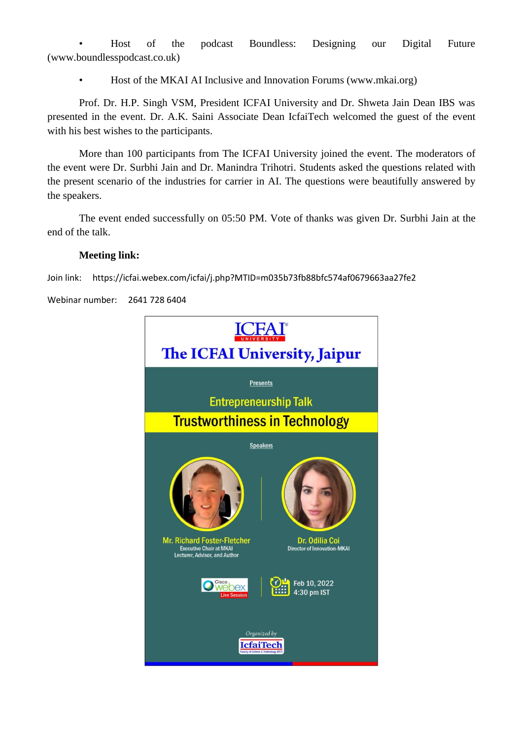• Host of the podcast Boundless: Designing our Digital Future (www.boundlesspodcast.co.uk)

• Host of the MKAI AI Inclusive and Innovation Forums (www.mkai.org)

Prof. Dr. H.P. Singh VSM, President ICFAI University and Dr. Shweta Jain Dean IBS was presented in the event. Dr. A.K. Saini Associate Dean IcfaiTech welcomed the guest of the event with his best wishes to the participants.

More than 100 participants from The ICFAI University joined the event. The moderators of the event were Dr. Surbhi Jain and Dr. Manindra Trihotri. Students asked the questions related with the present scenario of the industries for carrier in AI. The questions were beautifully answered by the speakers.

The event ended successfully on 05:50 PM. Vote of thanks was given Dr. Surbhi Jain at the end of the talk.

### **Meeting link:**

Join link: https://icfai.webex.com/icfai/j.php?MTID=m035b73fb88bfc574af0679663aa27fe2

Webinar number: 2641 728 6404

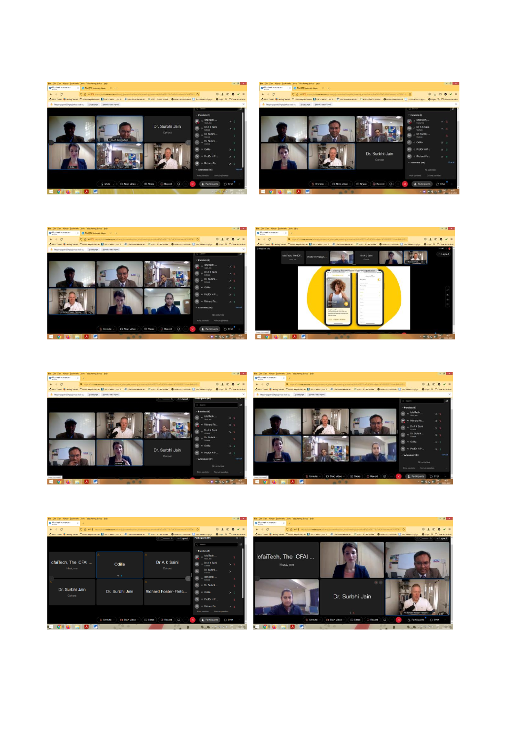







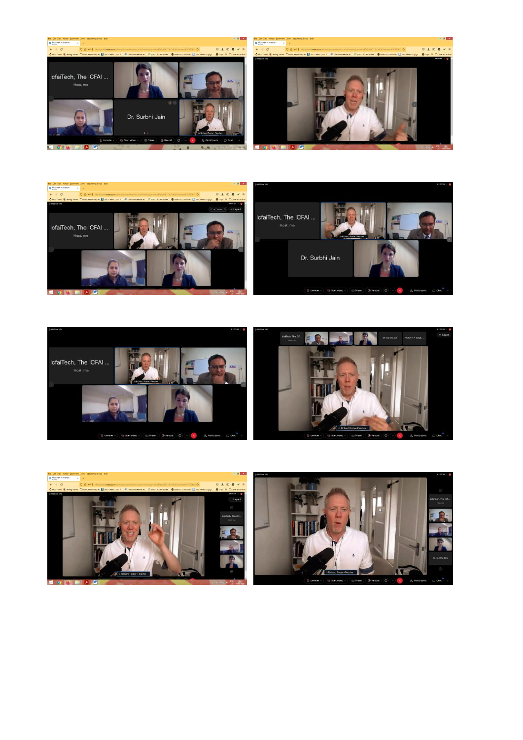